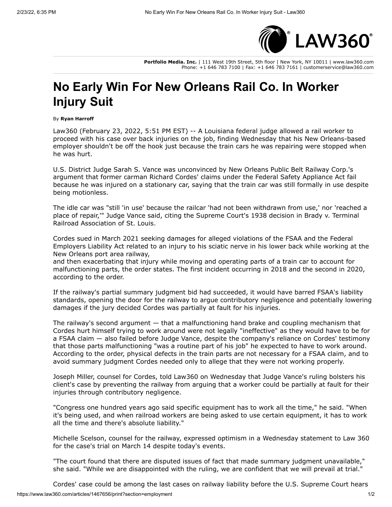

**Portfolio Media. Inc.** | 111 West 19th Street, 5th floor | New York, NY 10011 | www.law360.com Phone: +1 646 783 7100 | Fax: +1 646 783 7161 | customerservice@law360.com

## **No Early Win For New Orleans Rail Co. In Worker Injury Suit**

By **Ryan Harroff**

Law360 (February 23, 2022, 5:51 PM EST) -- A Louisiana federal judge allowed a rail worker to proceed with his case over back injuries on the job, finding Wednesday that his New Orleans-based employer shouldn't be off the hook just because the train cars he was repairing were stopped when he was hurt.

U.S. District Judge Sarah S. Vance was unconvinced by New Orleans Public Belt Railway Corp.'s argument that former carman Richard Cordes' claims under the Federal Safety Appliance Act fail because he was injured on a stationary car, saying that the train car was still formally in use despite being motionless.

The idle car was "still 'in use' because the railcar 'had not been withdrawn from use,' nor 'reached a place of repair,'" Judge Vance said, citing the Supreme Court's 1938 decision in Brady v. Terminal Railroad Association of St. Louis.

Cordes sued in March 2021 seeking damages for alleged violations of the FSAA and the Federal Employers Liability Act related to an injury to his sciatic nerve in his lower back while working at the New Orleans port area railway,

and then exacerbating that injury while moving and operating parts of a train car to account for malfunctioning parts, the order states. The first incident occurring in 2018 and the second in 2020, according to the order.

If the railway's partial summary judgment bid had succeeded, it would have barred FSAA's liability standards, opening the door for the railway to argue contributory negligence and potentially lowering damages if the jury decided Cordes was partially at fault for his injuries.

The railway's second argument — that a malfunctioning hand brake and coupling mechanism that Cordes hurt himself trying to work around were not legally "ineffective" as they would have to be for a FSAA claim — also failed before Judge Vance, despite the company's reliance on Cordes' testimony that those parts malfunctioning "was a routine part of his job" he expected to have to work around. According to the order, physical defects in the train parts are not necessary for a FSAA claim, and to avoid summary judgment Cordes needed only to allege that they were not working properly.

Joseph Miller, counsel for Cordes, told Law360 on Wednesday that Judge Vance's ruling bolsters his client's case by preventing the railway from arguing that a worker could be partially at fault for their injuries through contributory negligence.

"Congress one hundred years ago said specific equipment has to work all the time," he said. "When it's being used, and when railroad workers are being asked to use certain equipment, it has to work all the time and there's absolute liability."

Michelle Scelson, counsel for the railway, expressed optimism in a Wednesday statement to Law 360 for the case's trial on March 14 despite today's events.

"The court found that there are disputed issues of fact that made summary judgment unavailable," she said. "While we are disappointed with the ruling, we are confident that we will prevail at trial."

https://www.law360.com/articles/1467656/print?section=employment 1/2 Cordes' case could be among the last cases on railway liability before the [U.S. Supreme Court](https://www.law360.com/agencies/u-s-supreme-court) hears